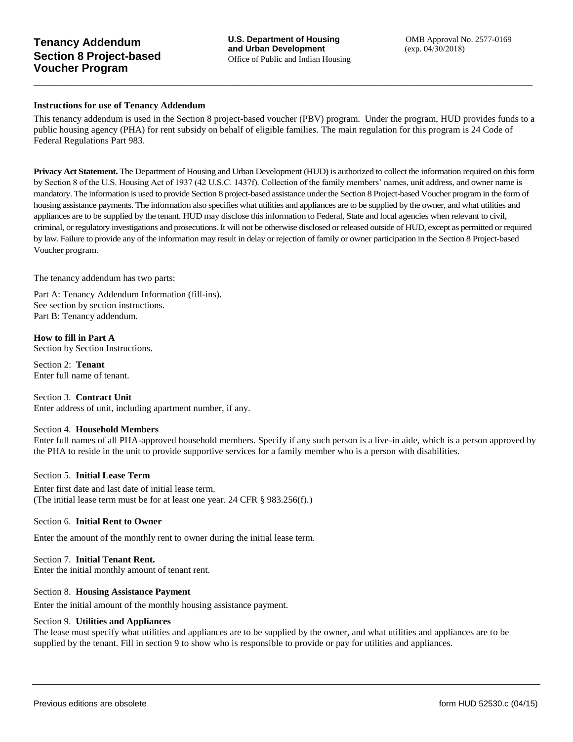# **Tenancy Addendum Section 8 Project-based Voucher Program**

**U.S. Department of Housing OMB** Approval No. 2577-0169 **and Urban Development** (exp. 04/30/2018) Office of Public and Indian Housing

## **Instructions for use of Tenancy Addendum**

This tenancy addendum is used in the Section 8 project-based voucher (PBV) program. Under the program, HUD provides funds to a public housing agency (PHA) for rent subsidy on behalf of eligible families. The main regulation for this program is 24 Code of Federal Regulations Part 983.

**\_\_\_\_\_\_\_\_\_\_\_\_\_\_\_\_\_\_\_\_\_\_\_\_\_\_\_\_\_\_\_\_\_\_\_\_\_\_\_\_\_\_\_\_\_\_\_\_\_\_\_\_\_\_\_\_\_\_\_\_\_\_\_\_\_\_\_\_\_\_\_\_\_\_\_\_\_\_\_\_**

**Privacy Act Statement.** The Department of Housing and Urban Development (HUD) is authorized to collect the information required on this form by Section 8 of the U.S. Housing Act of 1937 (42 U.S.C. 1437f). Collection of the family members' names, unit address, and owner name is mandatory. The information is used to provide Section 8 project-based assistance under the Section 8 Project-based Voucher program in the form of housing assistance payments. The information also specifies what utilities and appliances are to be supplied by the owner, and what utilities and appliances are to be supplied by the tenant. HUD may disclose this information to Federal, State and local agencies when relevant to civil, criminal, or regulatory investigations and prosecutions. It will not be otherwise disclosed or released outside of HUD, except as permitted or required by law. Failure to provide any of the information may result in delay or rejection of family or owner participation in the Section 8 Project-based Voucher program.

The tenancy addendum has two parts:

Part A: Tenancy Addendum Information (fill-ins). See section by section instructions. Part B: Tenancy addendum.

**How to fill in Part A**  Section by Section Instructions.

Section 2: **Tenant** Enter full name of tenant.

Section 3. **Contract Unit** Enter address of unit, including apartment number, if any.

## Section 4. **Household Members**

Enter full names of all PHA-approved household members. Specify if any such person is a live-in aide, which is a person approved by the PHA to reside in the unit to provide supportive services for a family member who is a person with disabilities.

## Section 5. **Initial Lease Term**

Enter first date and last date of initial lease term. (The initial lease term must be for at least one year. 24 CFR § 983.256(f).)

Section 6. **Initial Rent to Owner**

Enter the amount of the monthly rent to owner during the initial lease term.

Section 7. **Initial Tenant Rent.** Enter the initial monthly amount of tenant rent.

# Section 8. **Housing Assistance Payment**

Enter the initial amount of the monthly housing assistance payment.

## Section 9. **Utilities and Appliances**

The lease must specify what utilities and appliances are to be supplied by the owner, and what utilities and appliances are to be supplied by the tenant. Fill in section 9 to show who is responsible to provide or pay for utilities and appliances.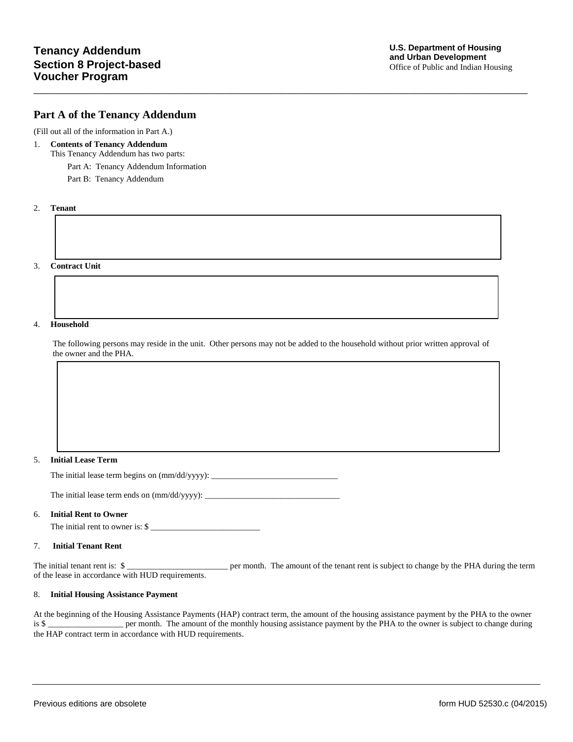# **Part A of the Tenancy Addendum**

(Fill out all of the information in Part A.)

1. **Contents of Tenancy Addendum**

This Tenancy Addendum has two parts: Part A: Tenancy Addendum Information

Part B: Tenancy Addendum

2. **Tenant**

3. **Contract Unit** 

#### 4. **Household**

 The following persons may reside in the unit. Other persons may not be added to the household without prior written approval of the owner and the PHA.

#### 5. **Initial Lease Term**

The initial lease term begins on (mm/dd/yyyy): \_\_\_\_\_\_\_\_\_\_\_\_\_\_\_\_\_\_\_\_\_\_\_\_\_\_\_\_\_\_

The initial lease term ends on (mm/dd/yyyy): \_\_\_\_\_\_\_\_\_\_\_\_\_\_\_\_\_\_\_\_\_\_\_\_\_\_\_\_\_\_\_\_

#### 6. **Initial Rent to Owner**

The initial rent to owner is: \$

#### 7. **Initial Tenant Rent**

The initial tenant rent is:  $\frac{1}{2}$  per month. The amount of the tenant rent is subject to change by the PHA during the term of the lease in accordance with HUD requirements.

#### 8. **Initial Housing Assistance Payment**

At the beginning of the Housing Assistance Payments (HAP) contract term, the amount of the housing assistance payment by the PHA to the owner is \$ \_\_\_\_\_\_\_\_\_\_\_\_\_\_\_\_\_\_ per month. The amount of the monthly housing assistance payment by the PHA to the owner is subject to change during the HAP contract term in accordance with HUD requirements.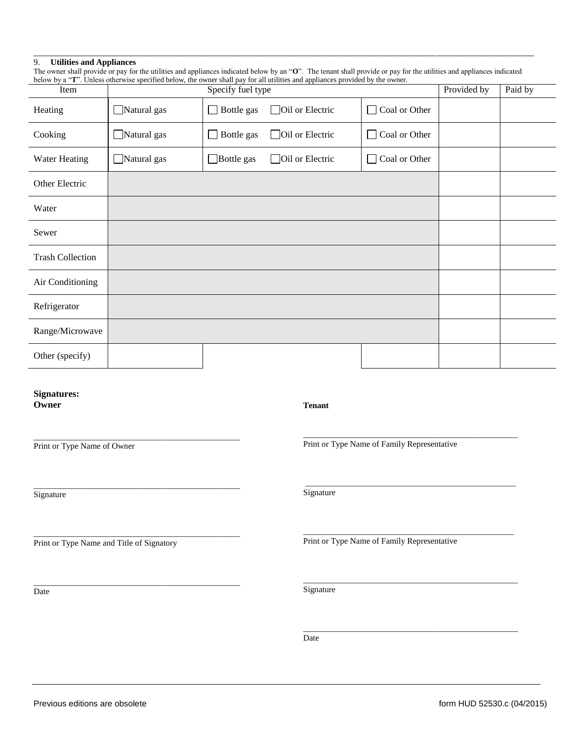## 9. **Utilities and Appliances**

The owner shall provide or pay for the utilities and appliances indicated below by an "**O**". The tenant shall provide or pay for the utilities and appliances indicated below by a "**T**". Unless otherwise specified below, the owner shall pay for all utilities and appliances provided by the owner.

\_\_\_\_\_\_\_\_\_\_\_\_\_\_\_\_\_\_\_\_\_\_\_\_\_\_\_\_\_\_\_\_\_\_\_\_\_\_\_\_\_\_\_\_\_\_\_\_\_\_\_\_\_\_\_\_\_\_\_\_\_\_\_\_\_\_\_\_\_\_\_\_\_\_\_\_\_\_\_\_\_\_\_\_\_\_\_\_\_\_\_\_\_\_\_\_\_\_\_\_\_\_\_\_\_\_\_

| Item                    | Specify fuel type |            |                        |                                 | Provided by | Paid by |
|-------------------------|-------------------|------------|------------------------|---------------------------------|-------------|---------|
| Heating                 | Natural gas       | Bottle gas | □ Oil or Electric      | Coal or Other<br>$\sim$         |             |         |
| Cooking                 | Natural gas       | Bottle gas | □ Oil or Electric      | Coal or Other<br>$\blacksquare$ |             |         |
| Water Heating           | Natural gas       | Bottle gas | $\Box$ Oil or Electric | Coal or Other<br>$\sim 10$      |             |         |
| Other Electric          |                   |            |                        |                                 |             |         |
| Water                   |                   |            |                        |                                 |             |         |
| Sewer                   |                   |            |                        |                                 |             |         |
| <b>Trash Collection</b> |                   |            |                        |                                 |             |         |
| Air Conditioning        |                   |            |                        |                                 |             |         |
| Refrigerator            |                   |            |                        |                                 |             |         |
| Range/Microwave         |                   |            |                        |                                 |             |         |
| Other (specify)         |                   |            |                        |                                 |             |         |
|                         |                   |            |                        |                                 |             |         |

**Signatures: Owner**

Print or Type Name of Owner

Signature

Print or Type Name and Title of Signatory

\_\_\_\_\_\_\_\_\_\_\_\_\_\_\_\_\_\_\_\_\_\_\_\_\_\_\_\_\_\_\_\_\_\_\_\_\_\_\_\_\_\_\_\_\_\_\_\_\_

\_\_\_\_\_\_\_\_\_\_\_\_\_\_\_\_\_\_\_\_\_\_\_\_\_\_\_\_\_\_\_\_\_\_\_\_\_\_\_\_\_\_\_\_\_\_\_\_\_

\_\_\_\_\_\_\_\_\_\_\_\_\_\_\_\_\_\_\_\_\_\_\_\_\_\_\_\_\_\_\_\_\_\_\_\_\_\_\_\_\_\_\_\_\_\_\_\_\_

\_\_\_\_\_\_\_\_\_\_\_\_\_\_\_\_\_\_\_\_\_\_\_\_\_\_\_\_\_\_\_\_\_\_\_\_\_\_\_\_\_\_\_\_\_\_\_\_\_

Date

**Tenant**

Print or Type Name of Family Representative

\_\_\_\_\_\_\_\_\_\_\_\_\_\_\_\_\_\_\_\_\_\_\_\_\_\_\_\_\_\_\_\_\_\_\_\_\_\_\_\_\_\_\_\_\_\_\_\_\_\_\_

\_\_\_\_\_\_\_\_\_\_\_\_\_\_\_\_\_\_\_\_\_\_\_\_\_\_\_\_\_\_\_\_\_\_\_\_\_\_\_\_\_\_\_\_\_\_\_\_\_\_

\_\_\_\_\_\_\_\_\_\_\_\_\_\_\_\_\_\_\_\_\_\_\_\_\_\_\_\_\_\_\_\_\_\_\_\_\_\_\_\_\_\_\_\_\_\_\_\_\_\_

\_\_\_\_\_\_\_\_\_\_\_\_\_\_\_\_\_\_\_\_\_\_\_\_\_\_\_\_\_\_\_\_\_\_\_\_\_\_\_\_\_\_\_\_\_\_\_\_\_\_\_

\_\_\_\_\_\_\_\_\_\_\_\_\_\_\_\_\_\_\_\_\_\_\_\_\_\_\_\_\_\_\_\_\_\_\_\_\_\_\_\_\_\_\_\_\_\_\_\_\_\_\_

Signature

Print or Type Name of Family Representative

Signature

Date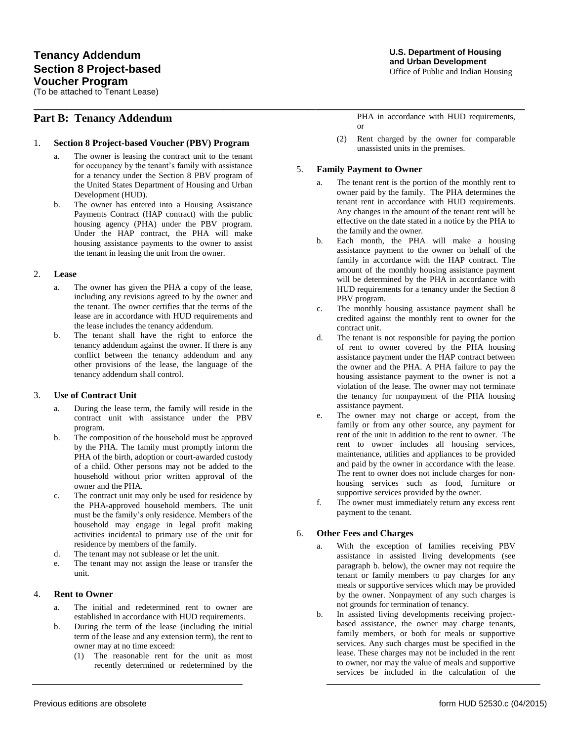(To be attached to Tenant Lease)

# **Part B: Tenancy Addendum**

#### 1. **Section 8 Project-based Voucher (PBV) Program**

- a. The owner is leasing the contract unit to the tenant for occupancy by the tenant's family with assistance for a tenancy under the Section 8 PBV program of the United States Department of Housing and Urban Development (HUD).
- b. The owner has entered into a Housing Assistance Payments Contract (HAP contract) with the public housing agency (PHA) under the PBV program. Under the HAP contract, the PHA will make housing assistance payments to the owner to assist the tenant in leasing the unit from the owner.

#### 2. **Lease**

- a. The owner has given the PHA a copy of the lease, including any revisions agreed to by the owner and the tenant. The owner certifies that the terms of the lease are in accordance with HUD requirements and the lease includes the tenancy addendum.
- b. The tenant shall have the right to enforce the tenancy addendum against the owner. If there is any conflict between the tenancy addendum and any other provisions of the lease, the language of the tenancy addendum shall control.

## 3. **Use of Contract Unit**

- a. During the lease term, the family will reside in the contract unit with assistance under the PBV program.
- b. The composition of the household must be approved by the PHA. The family must promptly inform the PHA of the birth, adoption or court-awarded custody of a child. Other persons may not be added to the household without prior written approval of the owner and the PHA.
- c. The contract unit may only be used for residence by the PHA-approved household members. The unit must be the family's only residence. Members of the household may engage in legal profit making activities incidental to primary use of the unit for residence by members of the family.
- d. The tenant may not sublease or let the unit.
- e. The tenant may not assign the lease or transfer the unit.

## 4. **Rent to Owner**

- a. The initial and redetermined rent to owner are established in accordance with HUD requirements.
- b. During the term of the lease (including the initial term of the lease and any extension term), the rent to owner may at no time exceed:
	- (1) The reasonable rent for the unit as most recently determined or redetermined by the

**U.S. Department of Housing and Urban Development** Office of Public and Indian Housing

PHA in accordance with HUD requirements, or

(2) Rent charged by the owner for comparable unassisted units in the premises.

#### 5. **Family Payment to Owner**

\_\_\_\_\_\_\_\_\_\_\_\_\_\_\_\_\_\_\_\_\_\_\_\_\_\_\_\_\_\_\_\_\_\_\_\_\_\_\_\_\_\_\_\_\_\_\_\_\_\_\_\_\_\_\_\_\_\_\_\_\_\_\_\_\_\_\_\_\_\_\_\_\_\_\_

- a. The tenant rent is the portion of the monthly rent to owner paid by the family. The PHA determines the tenant rent in accordance with HUD requirements. Any changes in the amount of the tenant rent will be effective on the date stated in a notice by the PHA to the family and the owner.
- b. Each month, the PHA will make a housing assistance payment to the owner on behalf of the family in accordance with the HAP contract. The amount of the monthly housing assistance payment will be determined by the PHA in accordance with HUD requirements for a tenancy under the Section 8 PBV program.
- c. The monthly housing assistance payment shall be credited against the monthly rent to owner for the contract unit.
- d. The tenant is not responsible for paying the portion of rent to owner covered by the PHA housing assistance payment under the HAP contract between the owner and the PHA. A PHA failure to pay the housing assistance payment to the owner is not a violation of the lease. The owner may not terminate the tenancy for nonpayment of the PHA housing assistance payment.
- e. The owner may not charge or accept, from the family or from any other source, any payment for rent of the unit in addition to the rent to owner. The rent to owner includes all housing services, maintenance, utilities and appliances to be provided and paid by the owner in accordance with the lease. The rent to owner does not include charges for nonhousing services such as food, furniture or supportive services provided by the owner.
- f. The owner must immediately return any excess rent payment to the tenant.

# 6. **Other Fees and Charges**

- a. With the exception of families receiving PBV assistance in assisted living developments (see paragraph b. below), the owner may not require the tenant or family members to pay charges for any meals or supportive services which may be provided by the owner. Nonpayment of any such charges is not grounds for termination of tenancy.
- b. In assisted living developments receiving projectbased assistance, the owner may charge tenants, family members, or both for meals or supportive services. Any such charges must be specified in the lease. These charges may not be included in the rent to owner, nor may the value of meals and supportive services be included in the calculation of the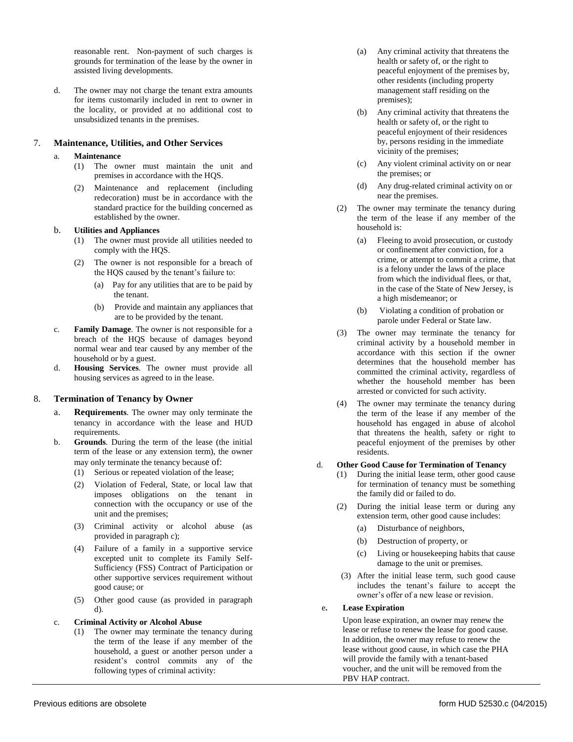reasonable rent. Non-payment of such charges is grounds for termination of the lease by the owner in assisted living developments.

d. The owner may not charge the tenant extra amounts for items customarily included in rent to owner in the locality, or provided at no additional cost to unsubsidized tenants in the premises.

## 7. **Maintenance, Utilities, and Other Services**

## a. **Maintenance**

- (1) The owner must maintain the unit and premises in accordance with the HQS.
- (2) Maintenance and replacement (including redecoration) must be in accordance with the standard practice for the building concerned as established by the owner.

# b. **Utilities and Appliances**

- (1) The owner must provide all utilities needed to comply with the HQS.
- (2) The owner is not responsible for a breach of the HQS caused by the tenant's failure to:
	- (a) Pay for any utilities that are to be paid by the tenant.
	- (b) Provide and maintain any appliances that are to be provided by the tenant.
- c. **Family Damage**. The owner is not responsible for a breach of the HQS because of damages beyond normal wear and tear caused by any member of the household or by a guest.
- d. **Housing Services**. The owner must provide all housing services as agreed to in the lease.

## 8. **Termination of Tenancy by Owner**

- a. **Requirements**. The owner may only terminate the tenancy in accordance with the lease and HUD requirements.
- b. **Grounds**. During the term of the lease (the initial term of the lease or any extension term), the owner may only terminate the tenancy because of:
	- (1) Serious or repeated violation of the lease;
	- (2) Violation of Federal, State, or local law that imposes obligations on the tenant in connection with the occupancy or use of the unit and the premises;
	- (3) Criminal activity or alcohol abuse (as provided in paragraph c);
	- (4) Failure of a family in a supportive service excepted unit to complete its Family Self-Sufficiency (FSS) Contract of Participation or other supportive services requirement without good cause; or
	- (5) Other good cause (as provided in paragraph d).

## c. **Criminal Activity or Alcohol Abuse**

(1) The owner may terminate the tenancy during the term of the lease if any member of the household, a guest or another person under a resident's control commits any of the following types of criminal activity:

- (a) Any criminal activity that threatens the health or safety of, or the right to peaceful enjoyment of the premises by, other residents (including property management staff residing on the premises);
- (b) Any criminal activity that threatens the health or safety of, or the right to peaceful enjoyment of their residences by, persons residing in the immediate vicinity of the premises;
- (c) Any violent criminal activity on or near the premises; or
- (d) Any drug-related criminal activity on or near the premises.
- (2) The owner may terminate the tenancy during the term of the lease if any member of the household is:
	- (a) Fleeing to avoid prosecution, or custody or confinement after conviction, for a crime, or attempt to commit a crime, that is a felony under the laws of the place from which the individual flees, or that, in the case of the State of New Jersey, is a high misdemeanor; or
	- (b) Violating a condition of probation or parole under Federal or State law.
- (3) The owner may terminate the tenancy for criminal activity by a household member in accordance with this section if the owner determines that the household member has committed the criminal activity, regardless of whether the household member has been arrested or convicted for such activity.
- (4) The owner may terminate the tenancy during the term of the lease if any member of the household has engaged in abuse of alcohol that threatens the health, safety or right to peaceful enjoyment of the premises by other residents.

#### d. **Other Good Cause for Termination of Tenancy**

- (1) During the initial lease term, other good cause for termination of tenancy must be something the family did or failed to do.
- (2) During the initial lease term or during any extension term, other good cause includes:
	- (a) Disturbance of neighbors,
	- (b) Destruction of property, or
	- (c) Living or housekeeping habits that cause damage to the unit or premises.
- (3) After the initial lease term, such good cause includes the tenant's failure to accept the owner's offer of a new lease or revision.

## e**. Lease Expiration**

Upon lease expiration, an owner may renew the lease or refuse to renew the lease for good cause. In addition, the owner may refuse to renew the lease without good cause, in which case the PHA will provide the family with a tenant-based voucher, and the unit will be removed from the PBV HAP contract.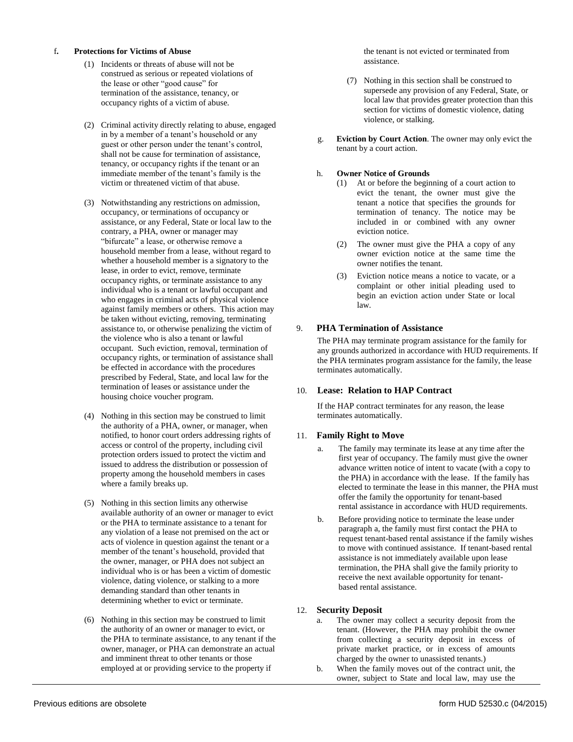#### f**. Protections for Victims of Abuse**

- (1) Incidents or threats of abuse will not be construed as serious or repeated violations of the lease or other "good cause" for termination of the assistance, tenancy, or occupancy rights of a victim of abuse.
- (2) Criminal activity directly relating to abuse, engaged in by a member of a tenant's household or any guest or other person under the tenant's control, shall not be cause for termination of assistance, tenancy, or occupancy rights if the tenant or an immediate member of the tenant's family is the victim or threatened victim of that abuse.
- (3) Notwithstanding any restrictions on admission, occupancy, or terminations of occupancy or assistance, or any Federal, State or local law to the contrary, a PHA, owner or manager may "bifurcate" a lease, or otherwise remove a household member from a lease, without regard to whether a household member is a signatory to the lease, in order to evict, remove, terminate occupancy rights, or terminate assistance to any individual who is a tenant or lawful occupant and who engages in criminal acts of physical violence against family members or others. This action may be taken without evicting, removing, terminating assistance to, or otherwise penalizing the victim of the violence who is also a tenant or lawful occupant. Such eviction, removal, termination of occupancy rights, or termination of assistance shall be effected in accordance with the procedures prescribed by Federal, State, and local law for the termination of leases or assistance under the housing choice voucher program.
- (4) Nothing in this section may be construed to limit the authority of a PHA, owner, or manager, when notified, to honor court orders addressing rights of access or control of the property, including civil protection orders issued to protect the victim and issued to address the distribution or possession of property among the household members in cases where a family breaks up.
- (5) Nothing in this section limits any otherwise available authority of an owner or manager to evict or the PHA to terminate assistance to a tenant for any violation of a lease not premised on the act or acts of violence in question against the tenant or a member of the tenant's household, provided that the owner, manager, or PHA does not subject an individual who is or has been a victim of domestic violence, dating violence, or stalking to a more demanding standard than other tenants in determining whether to evict or terminate.
- (6) Nothing in this section may be construed to limit the authority of an owner or manager to evict, or the PHA to terminate assistance, to any tenant if the owner, manager, or PHA can demonstrate an actual and imminent threat to other tenants or those employed at or providing service to the property if

the tenant is not evicted or terminated from assistance.

- (7) Nothing in this section shall be construed to supersede any provision of any Federal, State, or local law that provides greater protection than this section for victims of domestic violence, dating violence, or stalking.
- g. **Eviction by Court Action**. The owner may only evict the tenant by a court action.
- h. **Owner Notice of Grounds**
	- (1) At or before the beginning of a court action to evict the tenant, the owner must give the tenant a notice that specifies the grounds for termination of tenancy. The notice may be included in or combined with any owner eviction notice.
	- (2) The owner must give the PHA a copy of any owner eviction notice at the same time the owner notifies the tenant.
	- (3) Eviction notice means a notice to vacate, or a complaint or other initial pleading used to begin an eviction action under State or local law.

# 9. **PHA Termination of Assistance**

The PHA may terminate program assistance for the family for any grounds authorized in accordance with HUD requirements. If the PHA terminates program assistance for the family, the lease terminates automatically.

## 10. **Lease: Relation to HAP Contract**

If the HAP contract terminates for any reason, the lease terminates automatically.

# 11. **Family Right to Move**

- a. The family may terminate its lease at any time after the first year of occupancy. The family must give the owner advance written notice of intent to vacate (with a copy to the PHA) in accordance with the lease. If the family has elected to terminate the lease in this manner, the PHA must offer the family the opportunity for tenant-based rental assistance in accordance with HUD requirements.
- b. Before providing notice to terminate the lease under paragraph a, the family must first contact the PHA to request tenant-based rental assistance if the family wishes to move with continued assistance. If tenant-based rental assistance is not immediately available upon lease termination, the PHA shall give the family priority to receive the next available opportunity for tenantbased rental assistance.

# 12. **Security Deposit**

- The owner may collect a security deposit from the tenant. (However, the PHA may prohibit the owner from collecting a security deposit in excess of private market practice, or in excess of amounts charged by the owner to unassisted tenants.)
- b. When the family moves out of the contract unit, the owner, subject to State and local law, may use the